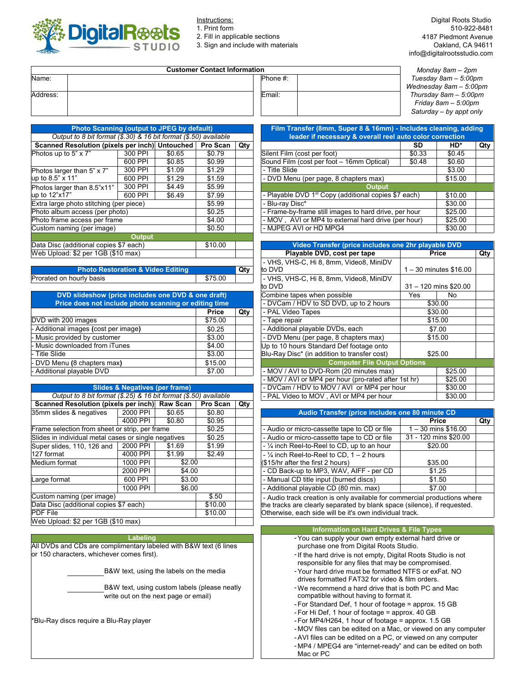

2. Fill in applicable sections

3. Sign and include with materials

| <b>Customer Contact Information</b> | Monday 8am – 2pm        |                         |
|-------------------------------------|-------------------------|-------------------------|
| Name:                               | $\blacksquare$ Phone #: | Tuesday $8am - 5:00pm$  |
|                                     |                         | Wednesday 8am – 5:00pi  |
| Address:                            | Email:                  | Thursday 8am - 5:00pm   |
|                                     |                         | Friday 8am – 5:00pm     |
|                                     |                         | Saturday - by appt only |

| <b>Photo Scanning (output to JPEG by default)</b>                |               |        |          |     | Film Transfer (8mm, Super 8 & 16mm) - Includes cleaning, a       |        |              |
|------------------------------------------------------------------|---------------|--------|----------|-----|------------------------------------------------------------------|--------|--------------|
| Output to 8 bit format (\$.30) & 16 bit format (\$.50) available |               |        |          |     | leader if necessary & overall reel auto color correction         |        |              |
| Scanned Resolution (pixels per inch) Untouched                   |               |        | Pro Scan | Qty |                                                                  | SD     | HD*          |
| Photos up to 5" x 7"                                             | 300 PPI       | \$0.65 | \$0.79   |     | Silent Film (cost per foot)                                      | \$0.33 | \$0.45       |
|                                                                  | 600 PPI       | \$0.85 | \$0.99   |     | Sound Film (cost per foot - 16mm Optical)                        | \$0.48 | \$0.60       |
| Photos larger than 5" x 7"                                       | 300 PPI       | \$1.09 | \$1.29   |     | - Title Slide                                                    |        | \$3.00       |
| up to $8.5$ " x 11"<br>600 PPI                                   |               | \$1.29 | \$1.59   |     | - DVD Menu (per page, 8 chapters max)                            |        | \$15.00      |
| Photos larger than 8.5"x11"                                      | 300 PPI       | \$4.49 | \$5.99   |     | <b>Output</b>                                                    |        |              |
| up to 12"x17"                                                    | 600 PPI       | \$6.49 | \$7.99   |     | - Playable DVD 1 <sup>st</sup> Copy (additional copies \$7 each) |        | \$10.00      |
| Extra large photo stitching (per piece)                          |               |        | \$5.99   |     | - Blu-ray Disc*<br>\$30.00                                       |        |              |
| Photo album access (per photo)                                   |               |        | \$0.25   |     | - Frame-by-frame still images to hard drive, per hour<br>\$25.00 |        |              |
| Photo frame access per frame                                     |               |        | \$4.00   |     | - MOV, AVI or MP4 to external hard drive (per hour)              |        | \$25.00      |
| Custom naming (per image)                                        |               |        | \$0.50   |     | - MJPEG AVI or HD MPG4                                           |        | \$30.00      |
|                                                                  | <b>Output</b> |        |          |     |                                                                  |        |              |
| Data Disc (additional copies \$7 each)                           |               |        | \$10.00  |     | Video Transfer (price includes one 2hr playable DVD              |        |              |
| Web Upload: \$2 per 1GB (\$10 max)                               |               |        |          |     | Playable DVD, cost per tape                                      |        | <b>Price</b> |
|                                                                  |               |        |          |     | . VHS VHS.C Hi 8 8mm Video8 MiniDV                               |        |              |

| <b>Photo Restoration &amp; Video Editing</b> |         | Qty |
|----------------------------------------------|---------|-----|
| Prorated on hourly basis                     | \$75.00 |     |

| DVD slideshow (price includes one DVD & one draft)    |                                        | Combine tapes when possible | Yes                                          | No      |         |
|-------------------------------------------------------|----------------------------------------|-----------------------------|----------------------------------------------|---------|---------|
| Price does not include photo scanning or editing time | - DVCam / HDV to SD DVD, up to 2 hours |                             | \$30.00                                      |         |         |
|                                                       | <b>Price</b>                           | Qty                         | - PAL Video Tapes                            | \$30.00 |         |
| DVD with 200 images                                   | \$75.00                                |                             | - Tape repair                                |         | \$15.00 |
| - Additional images (cost per image)                  | \$0.25                                 |                             | - Additional playable DVDs, each             |         | \$7.00  |
| - Music provided by customer<br>\$3.00                |                                        |                             | - DVD Menu (per page, 8 chapters max)        |         | \$15.00 |
| - Music downloaded from iTunes                        | \$4.00                                 |                             | Up to 10 hours Standard Def footage onto     |         |         |
| Title Slide                                           | \$3.00                                 |                             | Blu-Ray Disc* (in addition to transfer cost) | \$25.00 |         |
| - DVD Menu (8 chapters max)                           | \$15.00                                |                             | <b>Computer File Output Options</b>          |         |         |
| - Additional playable DVD<br>\$7.00                   |                                        |                             | - MOV / AVI to DVD-Rom (20 minutes max)      | \$25.00 |         |
|                                                       |                                        |                             |                                              |         |         |

|  | Slides & Negatives (per frame) |  |
|--|--------------------------------|--|
|  |                                |  |

| Output to 8 bit format (\$.25) & 16 bit format (\$.50) available |          |         |          |                                                         | - PAL Video to MOV, AVI or MP4 per hour                             | \$30              |  |
|------------------------------------------------------------------|----------|---------|----------|---------------------------------------------------------|---------------------------------------------------------------------|-------------------|--|
| Scanned Resolution (pixels per inch) Raw Scan                    |          |         | Pro Scan | Qty                                                     |                                                                     |                   |  |
| 35mm slides & negatives<br>2000 PPI<br>\$0.65                    |          |         | \$0.80   |                                                         | Audio Transfer (price includes one 80 minute CD                     |                   |  |
|                                                                  | 4000 PPI | \$0.80  | \$0.95   |                                                         |                                                                     | Price             |  |
| Frame selection from sheet or strip, per frame                   |          |         | \$0.25   |                                                         | - Audio or micro-cassette tape to CD or file                        | l – 30 mins \$16  |  |
| Slides in individual metal cases or single negatives             |          |         | \$0.25   |                                                         | - Audio or micro-cassette tape to CD or file                        | 31 - 120 mins \$2 |  |
| Super slides, 110, 126 and                                       | 2000 PPI | \$1.69  | \$1.99   |                                                         | - 1/4 inch Reel-to-Reel to CD, up to an hour                        | \$20.00           |  |
| 127 format                                                       | 4000 PPI | \$1.99  | \$2.49   |                                                         | $-$ 1/4 inch Reel-to-Reel to CD, 1 – 2 hours                        |                   |  |
| Medium format                                                    | 1000 PPI | \$2.00  |          |                                                         | (\$15/hr after the first 2 hours)                                   | \$35.00           |  |
|                                                                  | 2000 PPI | \$4.00  |          |                                                         | - CD Back-up to MP3, WAV, AIFF - per CD                             | \$1.25            |  |
| Large format                                                     | 600 PPI  | \$3.00  |          |                                                         | - Manual CD title input (burned discs)                              | \$1.50            |  |
|                                                                  | 1000 PPI | \$6.00  |          |                                                         | - Additional playable CD (80 min. max)                              | \$7.00            |  |
| Custom naming (per image)                                        |          |         | \$.50    |                                                         | - Audio track creation is only available for commercial productior  |                   |  |
| Data Disc (additional copies \$7 each)                           |          |         | \$10.00  |                                                         | the tracks are clearly separated by blank space (silence), if reque |                   |  |
| <b>PDF File</b>                                                  |          | \$10.00 |          | Otherwise, each side will be it's own individual track. |                                                                     |                   |  |
| Web Upload: \$2 per 1GB (\$10 max)                               |          |         |          |                                                         |                                                                     |                   |  |

## **Labeling**

or 150 characters, whichever comes first). - All DVDs and CDs are complimentary labeled with B&W text (6 lines purchase one from Digital Roots Studio.

B&W text, using the labels on the media

B&W text, using custom labels (please neatly write out on the next page or email)

\*Blu-Ray discs require a Blu-Ray player

| <b>Customer Contact Information</b> | Monday 8am - 2pm |                          |
|-------------------------------------|------------------|--------------------------|
|                                     | Phone #:         | Tuesday $8am - 5:00pm$   |
|                                     |                  | Wednesday $8am - 5:00pm$ |
|                                     | Email:           | Thursday $8am - 5.00pm$  |
|                                     |                  | Friday 8am - 5:00pm      |
|                                     |                  | Saturday - by appt only  |
|                                     |                  |                          |

| <b>Photo Scanning (output to JPEG by default)</b>                |         |        |                                                     |                                                                  | Film Transfer (8mm, Super 8 & 16mm) - Includes cleaning, adding  |           |         |     |  |  |
|------------------------------------------------------------------|---------|--------|-----------------------------------------------------|------------------------------------------------------------------|------------------------------------------------------------------|-----------|---------|-----|--|--|
| Output to 8 bit format (\$.30) & 16 bit format (\$.50) available |         |        |                                                     |                                                                  | leader if necessary & overall reel auto color correction         |           |         |     |  |  |
| Scanned Resolution (pixels per inch) Untouched<br>Pro Scan       |         |        |                                                     | Qty                                                              |                                                                  | <b>SD</b> | HD*     | Qty |  |  |
| hotos up to 5" x 7"                                              | 300 PPI | \$0.65 | \$0.79                                              |                                                                  | Silent Film (cost per foot)                                      | \$0.33    | \$0.45  |     |  |  |
|                                                                  | 600 PPI | \$0.85 | \$0.99                                              |                                                                  | Sound Film (cost per foot - 16mm Optical)                        | \$0.48    | \$0.60  |     |  |  |
| hotos larger than 5" x 7"                                        | 300 PPI | \$1.09 | \$1.29                                              |                                                                  | - Title Slide                                                    |           | \$3.00  |     |  |  |
| p to 8.5" x 11"                                                  | 600 PPI | \$1.29 | \$1.59                                              |                                                                  | - DVD Menu (per page, 8 chapters max)                            |           | \$15.00 |     |  |  |
| hotos larger than 8.5"x11"                                       | 300 PPI | \$4.49 | \$5.99                                              |                                                                  | Output                                                           |           |         |     |  |  |
| p to 12"x17"                                                     | 600 PPI | \$6.49 | \$7.99                                              |                                                                  | - Playable DVD 1 <sup>st</sup> Copy (additional copies \$7 each) |           | \$10.00 |     |  |  |
| xtra large photo stitching (per piece)                           |         |        | \$5.99                                              |                                                                  | - Blu-rav Disc*                                                  |           | \$30.00 |     |  |  |
| hoto album access (per photo)                                    |         | \$0.25 |                                                     | - Frame-by-frame still images to hard drive, per hour<br>\$25.00 |                                                                  |           |         |     |  |  |
| hoto frame access per frame<br>\$4.00                            |         |        | - MOV, AVI or MP4 to external hard drive (per hour) |                                                                  | \$25.00                                                          |           |         |     |  |  |
| ustom naming (per image)                                         |         |        | \$0.50                                              |                                                                  | - MJPEG AVI or HD MPG4<br>\$30.00                                |           |         |     |  |  |

| Data Disc (additional copies \$7 each)                               | \$10.00 |     | Video Transfer (price includes one 2hr playable DVD  |      |                          |     |
|----------------------------------------------------------------------|---------|-----|------------------------------------------------------|------|--------------------------|-----|
| Web Upload: \$2 per 1GB (\$10 max)                                   |         |     | Playable DVD, cost per tape                          |      | <b>Price</b>             | Qty |
|                                                                      |         |     | - VHS, VHS-C, Hi 8, 8mm, Video8, MiniDV              |      |                          |     |
| <b>Photo Restoration &amp; Video Editing</b>                         |         | Qty | to DVD                                               |      | $1 - 30$ minutes \$16.00 |     |
| Prorated on hourly basis                                             | \$75.00 |     | - VHS, VHS-C, Hi 8, 8mm, Video8, MiniDV              |      |                          |     |
|                                                                      |         |     | lto DVD                                              |      | $31 - 120$ mins \$20.00  |     |
| DVD slideshow (price includes one DVD & one draft)                   |         |     | Combine tapes when possible                          | Yes. | No                       |     |
| Price does not include photo scanning or editing time                |         |     | - DVCam / HDV to SD DVD, up to 2 hours               |      | \$30.00                  |     |
|                                                                      | Price   | Qty | - PAL Video Tapes                                    |      | \$30.00                  |     |
| DVD with 200 images                                                  | \$75.00 |     | - Tape repair                                        |      | \$15.00                  |     |
| - Additional images (cost per image)                                 | \$0.25  |     | - Additional playable DVDs, each                     |      | \$7.00                   |     |
| - Music provided by customer                                         | \$3.00  |     | - DVD Menu (per page, 8 chapters max)                |      | \$15.00                  |     |
| Music downloaded from iTunes                                         | \$4.00  |     | Up to 10 hours Standard Def footage onto             |      |                          |     |
| - Title Slide                                                        | \$3.00  |     | Blu-Ray Disc* (in addition to transfer cost)         |      | \$25.00                  |     |
| - DVD Menu (8 chapters max)                                          | \$15.00 |     | <b>Computer File Output Options</b>                  |      |                          |     |
| - Additional playable DVD                                            | \$7.00  |     | - MOV / AVI to DVD-Rom (20 minutes max)              |      | \$25.00                  |     |
|                                                                      |         |     | - MOV / AVI or MP4 per hour (pro-rated after 1st hr) |      | \$25.00                  |     |
| <b>Slides &amp; Negatives (per frame)</b>                            |         |     | - DVCam / HDV to MOV / AVI or MP4 per hour           |      | \$30.00                  |     |
| Output to 8 bit format $(\$.25)$ & 16 bit format $(\$.50)$ available |         |     | - PAL Video to MOV, AVI or MP4 per hour              |      | \$30.00                  |     |

| , pvi invii                     |                  |        | . .                                             |                                                                         |                       |     |  |  |
|---------------------------------|------------------|--------|-------------------------------------------------|-------------------------------------------------------------------------|-----------------------|-----|--|--|
| 2000 PPI<br>\$0.80<br>\$0.65    |                  |        | Audio Transfer (price includes one 80 minute CD |                                                                         |                       |     |  |  |
| 4000 PPI                        | \$0.80           | \$0.95 |                                                 |                                                                         | Price                 | Qty |  |  |
| strip, per frame                |                  | \$0.25 |                                                 | - Audio or micro-cassette tape to CD or file                            | $1 - 30$ mins \$16.00 |     |  |  |
| s or single negatives<br>\$0.25 |                  |        | - Audio or micro-cassette tape to CD or file    | 31 - 120 mins \$20.00                                                   |                       |     |  |  |
| 2000 PPI                        | \$1.99<br>\$1.69 |        |                                                 | $-$ 1/4 inch Reel-to-Reel to CD, up to an hour                          | \$20.00               |     |  |  |
| 4000 PPI                        | \$1.99           | \$2.49 |                                                 | $-$ 1/4 inch Reel-to-Reel to CD, 1 – 2 hours                            |                       |     |  |  |
| 1000 PPI                        | \$2.00           |        |                                                 | $(S15/hr$ after the first 2 hours)                                      | \$35.00               |     |  |  |
| 2000 PPI                        | \$4.00           |        |                                                 | - CD Back-up to MP3, WAV, AIFF - per CD                                 | \$1.25                |     |  |  |
| 600 PPI                         | \$3.00           |        |                                                 | - Manual CD title input (burned discs)                                  | \$1.50                |     |  |  |
| 1000 PPI<br>\$6.00              |                  |        | - Additional playable CD (80 min. max)          | \$7.00                                                                  |                       |     |  |  |
|                                 |                  | \$50   |                                                 | Audio track erection is only available for commercial productions where |                       |     |  |  |

 $\text{\$.50}$  | | - Audio track creation is only available for commercial productions where the tracks are clearly separated by blank space (silence), if requested. Otherwise, each side will be it's own individual track.

| <b>Information on Hard Drives &amp; File Types</b>                                                                  |
|---------------------------------------------------------------------------------------------------------------------|
| - You can supply your own empty external hard drive or<br>purchase one from Digital Roots Studio.                   |
| - If the hard drive is not empty, Digital Roots Studio is not<br>responsible for any files that may be compromised. |
| - Your hard drive must be formatted NTFS or exFat. NO<br>drives formatted FAT32 for video & film orders.            |
| -We recommend a hard drive that is both PC and Mac<br>compatible without having to format it.                       |
| - For Standard Def, 1 hour of footage = approx. 15 GB                                                               |
| - For Hi Def, 1 hour of footage = approx. 40 GB                                                                     |
| - For MP4/H264, 1 hour of footage = approx. $1.5$ GB                                                                |
| -MOV files can be edited on a Mac, or viewed on any computer                                                        |
| - AVI files can be edited on a PC, or viewed on any computer                                                        |
| -MP4 / MPEG4 are "internet-ready" and can be edited on both<br>Mac or PC                                            |